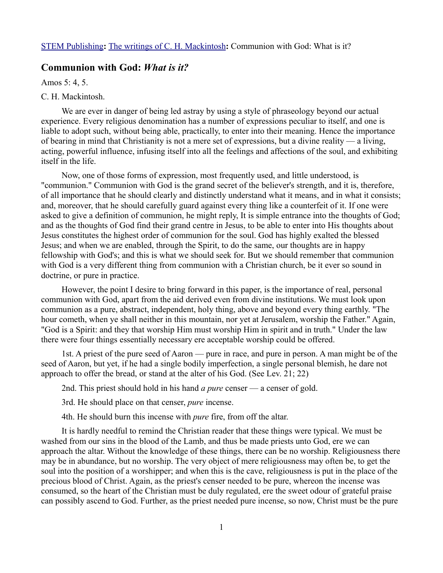## **Communion with God:** *What is it?*

Amos 5: 4, 5.

## C. H. Mackintosh.

We are ever in danger of being led astray by using a style of phraseology beyond our actual experience. Every religious denomination has a number of expressions peculiar to itself, and one is liable to adopt such, without being able, practically, to enter into their meaning. Hence the importance of bearing in mind that Christianity is not a mere set of expressions, but a divine reality — a living, acting, powerful influence, infusing itself into all the feelings and affections of the soul, and exhibiting itself in the life.

Now, one of those forms of expression, most frequently used, and little understood, is "communion." Communion with God is the grand secret of the believer's strength, and it is, therefore, of all importance that he should clearly and distinctly understand what it means, and in what it consists; and, moreover, that he should carefully guard against every thing like a counterfeit of it. If one were asked to give a definition of communion, he might reply, It is simple entrance into the thoughts of God; and as the thoughts of God find their grand centre in Jesus, to be able to enter into His thoughts about Jesus constitutes the highest order of communion for the soul. God has highly exalted the blessed Jesus; and when we are enabled, through the Spirit, to do the same, our thoughts are in happy fellowship with God's; and this is what we should seek for. But we should remember that communion with God is a very different thing from communion with a Christian church, be it ever so sound in doctrine, or pure in practice.

However, the point I desire to bring forward in this paper, is the importance of real, personal communion with God, apart from the aid derived even from divine institutions. We must look upon communion as a pure, abstract, independent, holy thing, above and beyond every thing earthly. "The hour cometh, when ye shall neither in this mountain, nor yet at Jerusalem, worship the Father." Again, "God is a Spirit: and they that worship Him must worship Him in spirit and in truth." Under the law there were four things essentially necessary ere acceptable worship could be offered.

1st. A priest of the pure seed of Aaron — pure in race, and pure in person. A man might be of the seed of Aaron, but yet, if he had a single bodily imperfection, a single personal blemish, he dare not approach to offer the bread, or stand at the alter of his God. (See Lev. 21; 22)

2nd. This priest should hold in his hand *a pure* censer — a censer of gold.

3rd. He should place on that censer, *pure* incense.

4th. He should burn this incense with *pure* fire, from off the altar.

It is hardly needful to remind the Christian reader that these things were typical. We must be washed from our sins in the blood of the Lamb, and thus be made priests unto God, ere we can approach the altar. Without the knowledge of these things, there can be no worship. Religiousness there may be in abundance, but no worship. The very object of mere religiousness may often be, to get the soul into the position of a worshipper; and when this is the cave, religiousness is put in the place of the precious blood of Christ. Again, as the priest's censer needed to be pure, whereon the incense was consumed, so the heart of the Christian must be duly regulated, ere the sweet odour of grateful praise can possibly ascend to God. Further, as the priest needed pure incense, so now, Christ must be the pure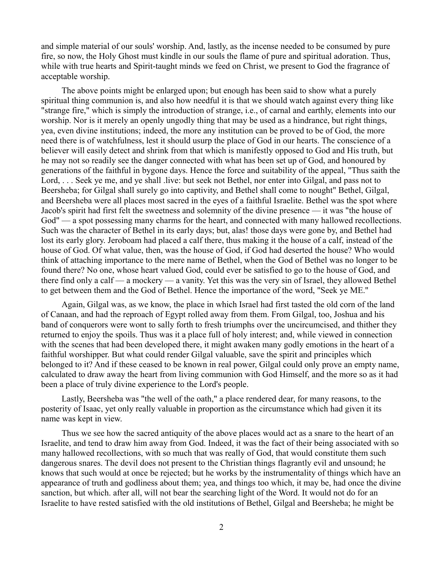and simple material of our souls' worship. And, lastly, as the incense needed to be consumed by pure fire, so now, the Holy Ghost must kindle in our souls the flame of pure and spiritual adoration. Thus, while with true hearts and Spirit-taught minds we feed on Christ, we present to God the fragrance of acceptable worship.

The above points might be enlarged upon; but enough has been said to show what a purely spiritual thing communion is, and also how needful it is that we should watch against every thing like "strange fire," which is simply the introduction of strange, i.e., of carnal and earthly, elements into our worship. Nor is it merely an openly ungodly thing that may be used as a hindrance, but right things, yea, even divine institutions; indeed, the more any institution can be proved to be of God, the more need there is of watchfulness, lest it should usurp the place of God in our hearts. The conscience of a believer will easily detect and shrink from that which is manifestly opposed to God and His truth, but he may not so readily see the danger connected with what has been set up of God, and honoured by generations of the faithful in bygone days. Hence the force and suitability of the appeal, "Thus saith the Lord, ... Seek ye me, and ye shall live: but seek not Bethel, nor enter into Gilgal, and pass not to Beersheba; for Gilgal shall surely go into captivity, and Bethel shall come to nought" Bethel, Gilgal, and Beersheba were all places most sacred in the eyes of a faithful Israelite. Bethel was the spot where Jacob's spirit had first felt the sweetness and solemnity of the divine presence — it was "the house of God" — a spot possessing many charms for the heart, and connected with many hallowed recollections. Such was the character of Bethel in its early days; but, alas! those days were gone by, and Bethel had lost its early glory. Jeroboam had placed a calf there, thus making it the house of a calf, instead of the house of God. Of what value, then, was the house of God, if God had deserted the house? Who would think of attaching importance to the mere name of Bethel, when the God of Bethel was no longer to be found there? No one, whose heart valued God, could ever be satisfied to go to the house of God, and there find only a calf — a mockery — a vanity. Yet this was the very sin of Israel, they allowed Bethel to get between them and the God of Bethel. Hence the importance of the word, "Seek ye ME.''

Again, Gilgal was, as we know, the place in which Israel had first tasted the old corn of the land of Canaan, and had the reproach of Egypt rolled away from them. From Gilgal, too, Joshua and his band of conquerors were wont to sally forth to fresh triumphs over the uncircumcised, and thither they returned to enjoy the spoils. Thus was it a place full of holy interest; and, while viewed in connection with the scenes that had been developed there, it might awaken many godly emotions in the heart of a faithful worshipper. But what could render Gilgal valuable, save the spirit and principles which belonged to it? And if these ceased to be known in real power, Gilgal could only prove an empty name, calculated to draw away the heart from living communion with God Himself, and the more so as it had been a place of truly divine experience to the Lord's people.

Lastly, Beersheba was "the well of the oath," a place rendered dear, for many reasons, to the posterity of Isaac, yet only really valuable in proportion as the circumstance which had given it its name was kept in view.

Thus we see how the sacred antiquity of the above places would act as a snare to the heart of an Israelite, and tend to draw him away from God. Indeed, it was the fact of their being associated with so many hallowed recollections, with so much that was really of God, that would constitute them such dangerous snares. The devil does not present to the Christian things flagrantly evil and unsound; he knows that such would at once be rejected; but he works by the instrumentality of things which have an appearance of truth and godliness about them; yea, and things too which, it may be, had once the divine sanction, but which. after all, will not bear the searching light of the Word. It would not do for an Israelite to have rested satisfied with the old institutions of Bethel, Gilgal and Beersheba; he might be